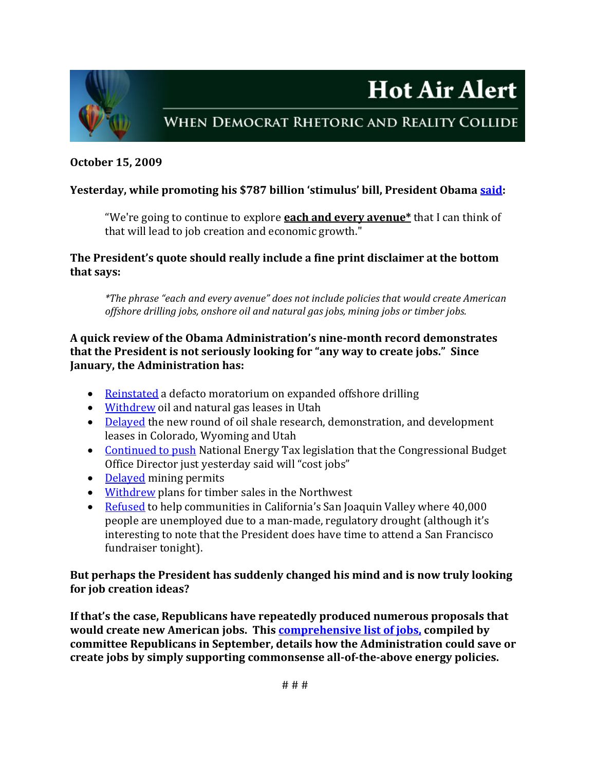



# WHEN DEMOCRAT RHETORIC AND REALITY COLLIDE

#### **October 15, 2009**

# **Yesterday, while promoting his \$787 billion 'stimulus' bill, President Obama said:**

"We're going to continue to explore **each and every avenue\*** that I can think of that will lead to job creation and economic growth."

**The President's quote should really include a fine print disclaimer at the bottom that says:** 

*\*The phrase "each and every avenue" does not include policies that would create American offshore drilling jobs, onshore oil and natural gas jobs, mining jobs or timber jobs.*

## **A quick review of the Obama Administration's ninemonth record demonstrates that the President is not seriously looking for "any way to create jobs." Since January, the Administration has:**

- Reinstated a defacto moratorium on expanded offshore drilling
- Withdrew oil and natural gas leases in Utah
- [•](http://republicans.resourcescommittee.house.gov/News/DocumentSingle.aspx?DocumentID=134651) Delayed the new round of oil shale research, demonstration, and development leases in Colorado[, Wyom](http://online.wsj.com/article/SB125433443346253225.html)ing and Utah
- [•](http://online.wsj.com/article/SB125555070414585571.html) Continued to push National Energy Tax legislation that the Congressional Budget Office Director just yesterday said will "cost jobs"
- [•](http://online.wsj.com/article/SB125433443346253225.html) Delayed mining permits
- Withdrew plans for timber sales in the Northwest
- [•](http://www.kmph.com/Global/story.asp?S=11298670) Refused to help communities in California's San Joaquin Valley where 40,000 [people are unemployed due to a man‐made, regulatory drought \(although it's](http://www.kmph.com/Global/story.asp?S=11298670)  [interesting to note that the President does have time to attend a San Francisco](http://www.kmph.com/Global/story.asp?S=11298670)  fundraiser tonight).

## **But perhaps the President has suddenly changed his mind and is now truly looking for job creation ideas?**

**If that's the case, Republicans have repeatedly produced numerous proposals that would create new American jobs. This [comprehensive](http://republicans.resourcescommittee.house.gov/News/DocumentSingle.aspx?DocumentID=144127) list of jobs, compiled by ommittee Republicans in September, details how the Administration could save or c reate jobs by simply supporting commonsense alloftheabove energy policies. c**